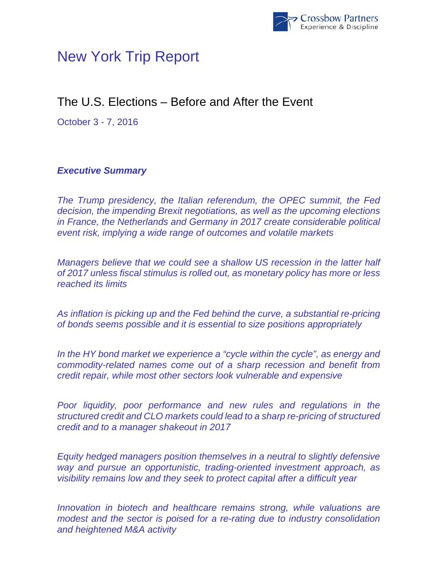

# New York Trip Report

# The U.S. Elections – Before and After the Event

October 3 - 7, 2016

## *Executive Summary*

*The Trump presidency, the Italian referendum, the OPEC summit, the Fed decision, the impending Brexit negotiations, as well as the upcoming elections in France, the Netherlands and Germany in 2017 create considerable political event risk, implying a wide range of outcomes and volatile markets* 

*Managers believe that we could see a shallow US recession in the latter half of 2017 unless fiscal stimulus is rolled out, as monetary policy has more or less reached its limits* 

*As inflation is picking up and the Fed behind the curve, a substantial re-pricing of bonds seems possible and it is essential to size positions appropriately* 

*In the HY bond market we experience a "cycle within the cycle", as energy and commodity-related names come out of a sharp recession and benefit from credit repair, while most other sectors look vulnerable and expensive* 

*Poor liquidity, poor performance and new rules and regulations in the structured credit and CLO markets could lead to a sharp re-pricing of structured credit and to a manager shakeout in 2017* 

*Equity hedged managers position themselves in a neutral to slightly defensive way and pursue an opportunistic, trading-oriented investment approach, as visibility remains low and they seek to protect capital after a difficult year* 

*Innovation in biotech and healthcare remains strong, while valuations are modest and the sector is poised for a re-rating due to industry consolidation and heightened M&A activity*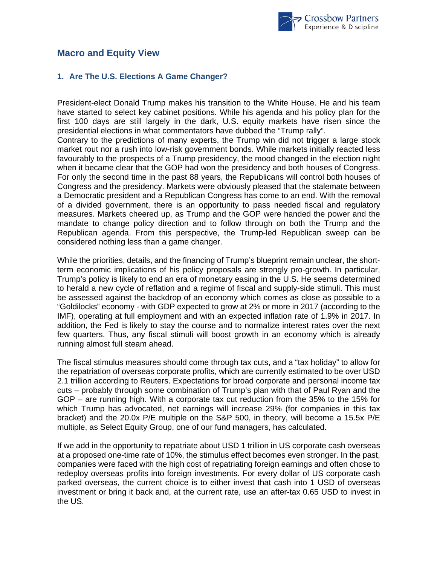

## **Macro and Equity View**

#### **1. Are The U.S. Elections A Game Changer?**

President-elect Donald Trump makes his transition to the White House. He and his team have started to select key cabinet positions. While his agenda and his policy plan for the first 100 days are still largely in the dark, U.S. equity markets have risen since the presidential elections in what commentators have dubbed the "Trump rally".

Contrary to the predictions of many experts, the Trump win did not trigger a large stock market rout nor a rush into low-risk government bonds. While markets initially reacted less favourably to the prospects of a Trump presidency, the mood changed in the election night when it became clear that the GOP had won the presidency and both houses of Congress. For only the second time in the past 88 years, the Republicans will control both houses of Congress and the presidency. Markets were obviously pleased that the stalemate between a Democratic president and a Republican Congress has come to an end. With the removal of a divided government, there is an opportunity to pass needed fiscal and regulatory measures. Markets cheered up, as Trump and the GOP were handed the power and the mandate to change policy direction and to follow through on both the Trump and the Republican agenda. From this perspective, the Trump-led Republican sweep can be considered nothing less than a game changer.

While the priorities, details, and the financing of Trump's blueprint remain unclear, the shortterm economic implications of his policy proposals are strongly pro-growth. In particular, Trump's policy is likely to end an era of monetary easing in the U.S. He seems determined to herald a new cycle of reflation and a regime of fiscal and supply-side stimuli. This must be assessed against the backdrop of an economy which comes as close as possible to a "Goldilocks" economy - with GDP expected to grow at 2% or more in 2017 (according to the IMF), operating at full employment and with an expected inflation rate of 1.9% in 2017. In addition, the Fed is likely to stay the course and to normalize interest rates over the next few quarters. Thus, any fiscal stimuli will boost growth in an economy which is already running almost full steam ahead.

The fiscal stimulus measures should come through tax cuts, and a "tax holiday" to allow for the repatriation of overseas corporate profits, which are currently estimated to be over USD 2.1 trillion according to Reuters. Expectations for broad corporate and personal income tax cuts – probably through some combination of Trump's plan with that of Paul Ryan and the GOP – are running high. With a corporate tax cut reduction from the 35% to the 15% for which Trump has advocated, net earnings will increase 29% (for companies in this tax bracket) and the 20.0x P/E multiple on the S&P 500, in theory, will become a 15.5x P/E multiple, as Select Equity Group, one of our fund managers, has calculated.

If we add in the opportunity to repatriate about USD 1 trillion in US corporate cash overseas at a proposed one-time rate of 10%, the stimulus effect becomes even stronger. In the past, companies were faced with the high cost of repatriating foreign earnings and often chose to redeploy overseas profits into foreign investments. For every dollar of US corporate cash parked overseas, the current choice is to either invest that cash into 1 USD of overseas investment or bring it back and, at the current rate, use an after-tax 0.65 USD to invest in the US.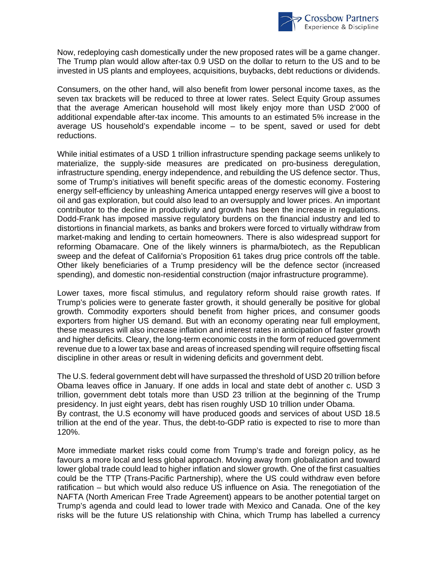

Now, redeploying cash domestically under the new proposed rates will be a game changer. The Trump plan would allow after-tax 0.9 USD on the dollar to return to the US and to be invested in US plants and employees, acquisitions, buybacks, debt reductions or dividends.

Consumers, on the other hand, will also benefit from lower personal income taxes, as the seven tax brackets will be reduced to three at lower rates. Select Equity Group assumes that the average American household will most likely enjoy more than USD 2'000 of additional expendable after-tax income. This amounts to an estimated 5% increase in the average US household's expendable income – to be spent, saved or used for debt reductions.

While initial estimates of a USD 1 trillion infrastructure spending package seems unlikely to materialize, the supply-side measures are predicated on pro-business deregulation, infrastructure spending, energy independence, and rebuilding the US defence sector. Thus, some of Trump's initiatives will benefit specific areas of the domestic economy. Fostering energy self-efficiency by unleashing America untapped energy reserves will give a boost to oil and gas exploration, but could also lead to an oversupply and lower prices. An important contributor to the decline in productivity and growth has been the increase in regulations. Dodd-Frank has imposed massive regulatory burdens on the financial industry and led to distortions in financial markets, as banks and brokers were forced to virtually withdraw from market-making and lending to certain homeowners. There is also widespread support for reforming Obamacare. One of the likely winners is pharma/biotech, as the Republican sweep and the defeat of California's Proposition 61 takes drug price controls off the table. Other likely beneficiaries of a Trump presidency will be the defence sector (increased spending), and domestic non-residential construction (major infrastructure programme).

Lower taxes, more fiscal stimulus, and regulatory reform should raise growth rates. If Trump's policies were to generate faster growth, it should generally be positive for global growth. Commodity exporters should benefit from higher prices, and consumer goods exporters from higher US demand. But with an economy operating near full employment, these measures will also increase inflation and interest rates in anticipation of faster growth and higher deficits. Cleary, the long-term economic costs in the form of reduced government revenue due to a lower tax base and areas of increased spending will require offsetting fiscal discipline in other areas or result in widening deficits and government debt.

The U.S. federal government debt will have surpassed the threshold of USD 20 trillion before Obama leaves office in January. If one adds in local and state debt of another c. USD 3 trillion, government debt totals more than USD 23 trillion at the beginning of the Trump presidency. In just eight years, debt has risen roughly USD 10 trillion under Obama. By contrast, the U.S economy will have produced goods and services of about USD 18.5 trillion at the end of the year. Thus, the debt-to-GDP ratio is expected to rise to more than 120%.

More immediate market risks could come from Trump's trade and foreign policy, as he favours a more local and less global approach. Moving away from globalization and toward lower global trade could lead to higher inflation and slower growth. One of the first casualties could be the TTP (Trans-Pacific Partnership), where the US could withdraw even before ratification – but which would also reduce US influence on Asia. The renegotiation of the NAFTA (North American Free Trade Agreement) appears to be another potential target on Trump's agenda and could lead to lower trade with Mexico and Canada. One of the key risks will be the future US relationship with China, which Trump has labelled a currency